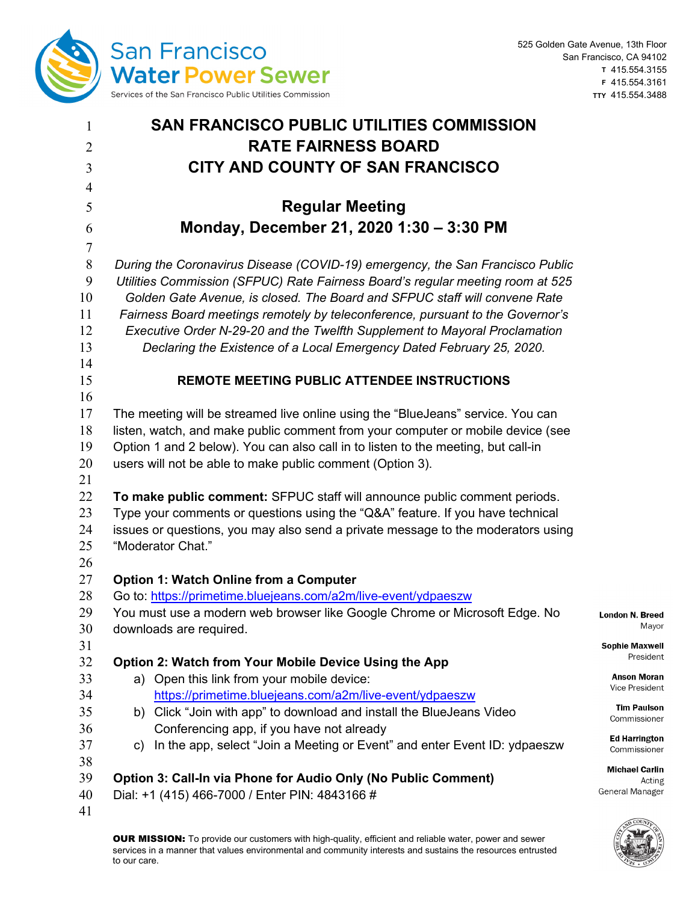

| $\mathbf{1}$   | <b>SAN FRANCISCO PUBLIC UTILITIES COMMISSION</b>                                  |                          |  |  |  |
|----------------|-----------------------------------------------------------------------------------|--------------------------|--|--|--|
| $\overline{2}$ | <b>RATE FAIRNESS BOARD</b>                                                        |                          |  |  |  |
| 3              | CITY AND COUNTY OF SAN FRANCISCO                                                  |                          |  |  |  |
| $\overline{4}$ |                                                                                   |                          |  |  |  |
| 5              | <b>Regular Meeting</b>                                                            |                          |  |  |  |
| 6              | Monday, December 21, 2020 1:30 - 3:30 PM                                          |                          |  |  |  |
| $\tau$         |                                                                                   |                          |  |  |  |
| $\,8\,$        | During the Coronavirus Disease (COVID-19) emergency, the San Francisco Public     |                          |  |  |  |
| 9              | Utilities Commission (SFPUC) Rate Fairness Board's regular meeting room at 525    |                          |  |  |  |
| 10             | Golden Gate Avenue, is closed. The Board and SFPUC staff will convene Rate        |                          |  |  |  |
| 11             | Fairness Board meetings remotely by teleconference, pursuant to the Governor's    |                          |  |  |  |
| 12             | Executive Order N-29-20 and the Twelfth Supplement to Mayoral Proclamation        |                          |  |  |  |
| 13             | Declaring the Existence of a Local Emergency Dated February 25, 2020.             |                          |  |  |  |
| 14             |                                                                                   |                          |  |  |  |
| 15             | <b>REMOTE MEETING PUBLIC ATTENDEE INSTRUCTIONS</b>                                |                          |  |  |  |
| 16             |                                                                                   |                          |  |  |  |
| 17             | The meeting will be streamed live online using the "BlueJeans" service. You can   |                          |  |  |  |
| 18             | listen, watch, and make public comment from your computer or mobile device (see   |                          |  |  |  |
| 19             | Option 1 and 2 below). You can also call in to listen to the meeting, but call-in |                          |  |  |  |
| 20             | users will not be able to make public comment (Option 3).                         |                          |  |  |  |
| 21             |                                                                                   |                          |  |  |  |
| 22             | To make public comment: SFPUC staff will announce public comment periods.         |                          |  |  |  |
| 23             | Type your comments or questions using the "Q&A" feature. If you have technical    |                          |  |  |  |
| 24             | issues or questions, you may also send a private message to the moderators using  |                          |  |  |  |
| 25             | "Moderator Chat."                                                                 |                          |  |  |  |
| 26             |                                                                                   |                          |  |  |  |
| 27             | <b>Option 1: Watch Online from a Computer</b>                                     |                          |  |  |  |
| 28<br>29       | Go to: https://primetime.bluejeans.com/a2m/live-event/ydpaeszw                    |                          |  |  |  |
| 30             | You must use a modern web browser like Google Chrome or Microsoft Edge. No        | London N.                |  |  |  |
| 31             | downloads are required.                                                           | <b>Sophie M</b>          |  |  |  |
| 32             | Option 2: Watch from Your Mobile Device Using the App                             | Pre                      |  |  |  |
| 33             | a) Open this link from your mobile device:                                        | Anson                    |  |  |  |
| 34             | https://primetime.bluejeans.com/a2m/live-event/ydpaeszw                           | Vice Pre                 |  |  |  |
| 35             | b) Click "Join with app" to download and install the BlueJeans Video              | Tim P                    |  |  |  |
| 36             | Conferencing app, if you have not already                                         | Commis                   |  |  |  |
| 37             | c) In the app, select "Join a Meeting or Event" and enter Event ID: ydpaeszw      | <b>Ed Harr</b><br>Commis |  |  |  |
| 38             |                                                                                   |                          |  |  |  |
| 39             | Option 3: Call-In via Phone for Audio Only (No Public Comment)                    | <b>Michael</b>           |  |  |  |
| 40             | Dial: +1 (415) 466-7000 / Enter PIN: 4843166 #                                    | General Ma               |  |  |  |
| 41             |                                                                                   |                          |  |  |  |

**Breed** Mayor

**laxwell** esident

> Moran esident

aulson? issioner

rington issioner

I Carlin Acting lanager

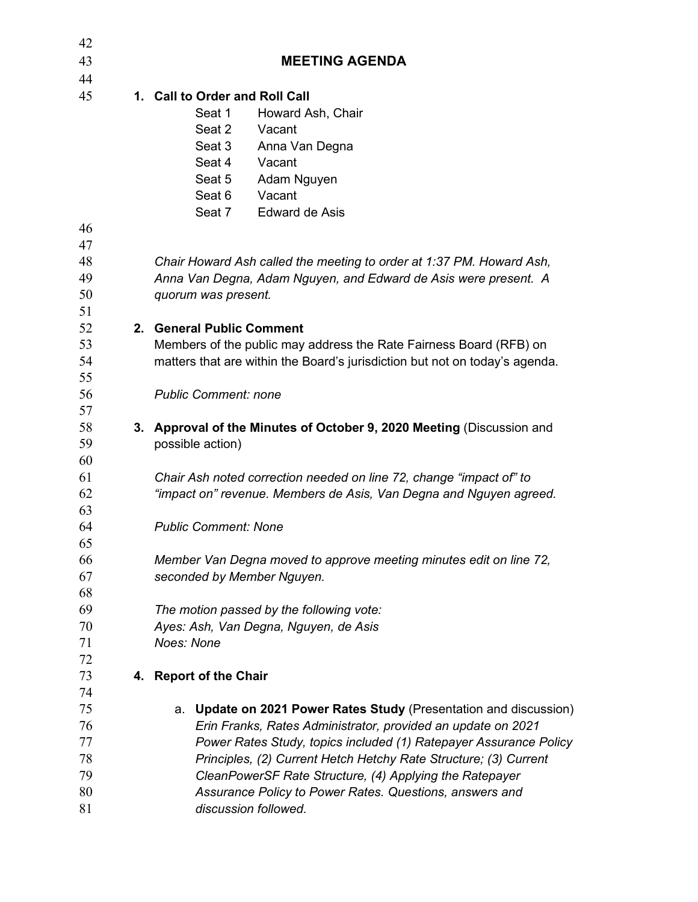| 42       |                                                                             |
|----------|-----------------------------------------------------------------------------|
| 43       | <b>MEETING AGENDA</b>                                                       |
| 44       |                                                                             |
| 45       | 1. Call to Order and Roll Call                                              |
|          | Seat 1<br>Howard Ash, Chair                                                 |
|          | Seat 2<br>Vacant                                                            |
|          | Seat 3<br>Anna Van Degna                                                    |
|          | Seat 4<br>Vacant                                                            |
|          | Seat 5<br>Adam Nguyen                                                       |
|          | Vacant<br>Seat 6                                                            |
|          | Seat 7<br><b>Edward de Asis</b>                                             |
| 46       |                                                                             |
| 47       |                                                                             |
| 48       | Chair Howard Ash called the meeting to order at 1:37 PM. Howard Ash,        |
| 49       | Anna Van Degna, Adam Nguyen, and Edward de Asis were present. A             |
| 50       | quorum was present.                                                         |
| 51       |                                                                             |
| 52       | 2. General Public Comment                                                   |
| 53       | Members of the public may address the Rate Fairness Board (RFB) on          |
| 54       | matters that are within the Board's jurisdiction but not on today's agenda. |
| 55       |                                                                             |
| 56       | <b>Public Comment: none</b>                                                 |
| 57       |                                                                             |
| 58       | 3. Approval of the Minutes of October 9, 2020 Meeting (Discussion and       |
| 59       | possible action)                                                            |
| 60       |                                                                             |
| 61       | Chair Ash noted correction needed on line 72, change "impact of" to         |
| 62<br>63 | "impact on" revenue. Members de Asis, Van Degna and Nguyen agreed.          |
| 64       | <b>Public Comment: None</b>                                                 |
| 65       |                                                                             |
| 66       | Member Van Degna moved to approve meeting minutes edit on line 72,          |
| 67       | seconded by Member Nguyen.                                                  |
| 68       |                                                                             |
| 69       | The motion passed by the following vote:                                    |
| 70       | Ayes: Ash, Van Degna, Nguyen, de Asis                                       |
| 71       | Noes: None                                                                  |
| 72       |                                                                             |
| 73       | 4. Report of the Chair                                                      |
| 74       |                                                                             |
| 75       | a. Update on 2021 Power Rates Study (Presentation and discussion)           |
| 76       | Erin Franks, Rates Administrator, provided an update on 2021                |
| 77       | Power Rates Study, topics included (1) Ratepayer Assurance Policy           |
| 78       | Principles, (2) Current Hetch Hetchy Rate Structure; (3) Current            |
| 79       | CleanPowerSF Rate Structure, (4) Applying the Ratepayer                     |
| 80       | Assurance Policy to Power Rates. Questions, answers and                     |
| 81       | discussion followed.                                                        |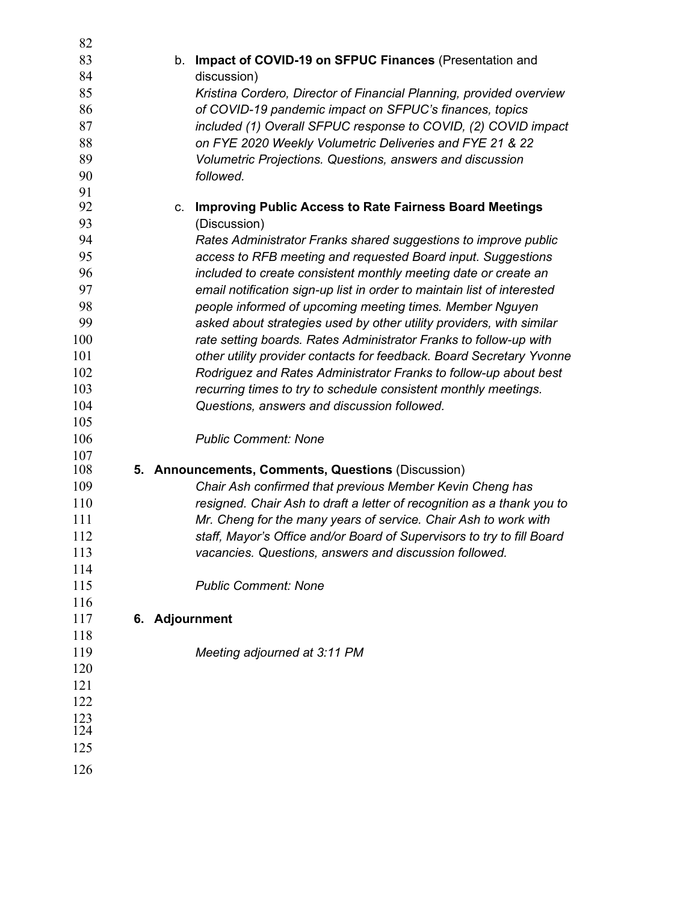| 82         |                                                                                                                |
|------------|----------------------------------------------------------------------------------------------------------------|
| 83         | b. Impact of COVID-19 on SFPUC Finances (Presentation and                                                      |
| 84         | discussion)                                                                                                    |
| 85         | Kristina Cordero, Director of Financial Planning, provided overview                                            |
| 86         | of COVID-19 pandemic impact on SFPUC's finances, topics                                                        |
| 87         | included (1) Overall SFPUC response to COVID, (2) COVID impact                                                 |
| 88         | on FYE 2020 Weekly Volumetric Deliveries and FYE 21 & 22                                                       |
| 89         | Volumetric Projections. Questions, answers and discussion                                                      |
| 90         | followed.                                                                                                      |
| 91         |                                                                                                                |
| 92         | <b>Improving Public Access to Rate Fairness Board Meetings</b><br>C.                                           |
| 93         | (Discussion)                                                                                                   |
| 94         | Rates Administrator Franks shared suggestions to improve public                                                |
| 95         | access to RFB meeting and requested Board input. Suggestions                                                   |
| 96         | included to create consistent monthly meeting date or create an                                                |
| 97         | email notification sign-up list in order to maintain list of interested                                        |
| 98         | people informed of upcoming meeting times. Member Nguyen                                                       |
| 99         | asked about strategies used by other utility providers, with similar                                           |
| 100        | rate setting boards. Rates Administrator Franks to follow-up with                                              |
| 101        | other utility provider contacts for feedback. Board Secretary Yvonne                                           |
| 102        | Rodriguez and Rates Administrator Franks to follow-up about best                                               |
| 103        | recurring times to try to schedule consistent monthly meetings.                                                |
| 104        | Questions, answers and discussion followed.                                                                    |
| 105        |                                                                                                                |
| 106        | <b>Public Comment: None</b>                                                                                    |
| 107        |                                                                                                                |
| 108<br>109 | 5. Announcements, Comments, Questions (Discussion)<br>Chair Ash confirmed that previous Member Kevin Cheng has |
| 110        | resigned. Chair Ash to draft a letter of recognition as a thank you to                                         |
| 111        | Mr. Cheng for the many years of service. Chair Ash to work with                                                |
| 112        | staff, Mayor's Office and/or Board of Supervisors to try to fill Board                                         |
| 113        | vacancies. Questions, answers and discussion followed.                                                         |
| 114        |                                                                                                                |
| 115        | <b>Public Comment: None</b>                                                                                    |
| 116        |                                                                                                                |
| 117        | 6. Adjournment                                                                                                 |
| 118        |                                                                                                                |
| 119        | Meeting adjourned at 3:11 PM                                                                                   |
| 120        |                                                                                                                |
| 121        |                                                                                                                |
| 122        |                                                                                                                |
| 123        |                                                                                                                |
| 124        |                                                                                                                |
| 125        |                                                                                                                |
| 126        |                                                                                                                |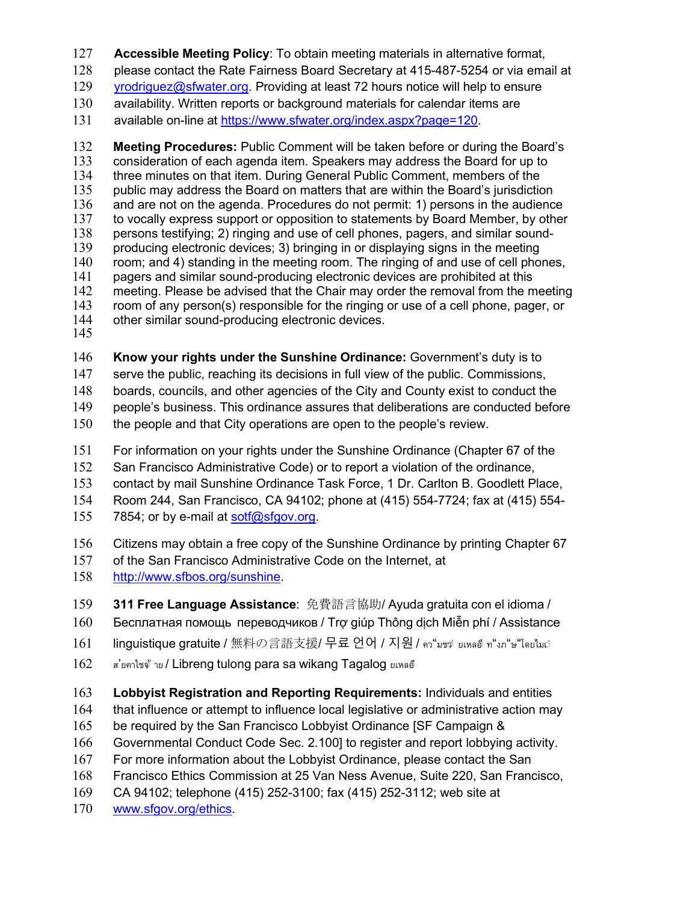- **Accessible Meeting Policy**: To obtain meeting materials in alternative format,
- please contact the Rate Fairness Board Secretary at 415-487-5254 or via email at
- [yrodriguez@sfwater.org.](mailto:yrodriguez@sfwater.org) Providing at least 72 hours notice will help to ensure
- availability. Written reports or background materials for calendar items are
- available on-line at [https://www.sfwater.org/index.aspx?page=120.](https://www.sfwater.org/index.aspx?page=120)

 **Meeting Procedures:** Public Comment will be taken before or during the Board's 133 consideration of each agenda item. Speakers may address the Board for up to the three minutes on that item. During General Public Comment, members of the three minutes on that item. During General Public Comment, members of the public may address the Board on matters that are within the Board's jurisdiction 136 and are not on the agenda. Procedures do not permit: 1) persons in the audience<br>137 to vocally express support or opposition to statements by Board Member, by other 137 to vocally express support or opposition to statements by Board Member, by other<br>138 persons testifying: 2) ringing and use of cell phones, pagers, and similar sound-138 persons testifying; 2) ringing and use of cell phones, pagers, and similar sound-<br>139 producing electronic devices: 3) bringing in or displaying signs in the meeting producing electronic devices; 3) bringing in or displaying signs in the meeting 140 room; and 4) standing in the meeting room. The ringing of and use of cell phones,<br>141 pagers and similar sound-producing electronic devices are prohibited at this 141 pagers and similar sound-producing electronic devices are prohibited at this<br>142 meeting. Please be advised that the Chair may order the removal from the n meeting. Please be advised that the Chair may order the removal from the meeting 143 room of any person(s) responsible for the ringing or use of a cell phone, pager, or 144 other similar sound-producing electronic devices. other similar sound-producing electronic devices.

- 
- **Know your rights under the Sunshine Ordinance:** Government's duty is to
- serve the public, reaching its decisions in full view of the public. Commissions,
- boards, councils, and other agencies of the City and County exist to conduct the
- people's business. This ordinance assures that deliberations are conducted before
- the people and that City operations are open to the people's review.
- For information on your rights under the Sunshine Ordinance (Chapter 67 of the
- San Francisco Administrative Code) or to report a violation of the ordinance,
- contact by mail Sunshine Ordinance Task Force, 1 Dr. Carlton B. Goodlett Place,
- Room 244, San Francisco, CA 94102; phone at (415) 554-7724; fax at (415) 554-
- 155 7854; or by e-mail at [sotf@sfgov.org.](mailto:sotf@sfgov.org)
- Citizens may obtain a free copy of the Sunshine Ordinance by printing Chapter 67
- of the San Francisco Administrative Code on the Internet, at
- [http://www.sfbos.org/sunshine.](http://www.sfbos.org/sunshine)
- **311 Free Language Assistance**: 免費語言協助/ Ayuda gratuita con el idioma /
- Бесплатная помощь переводчиков / Trợ giúp Thông dịch Miễn phí / Assistance
- linguistique gratuite / 無料の言語支援/ 무료 언어 / 지원 / คว"มชจ่ ยเหลอ์ ท"งภ"ษ"โดยไม $\circ$
- ส'ยคาไซจ้าย / Libreng tulong para sa wikang Tagalog ยเหลอื
- **Lobbyist Registration and Reporting Requirements:** Individuals and entities
- that influence or attempt to influence local legislative or administrative action may
- 165 be required by the San Francisco Lobbyist Ordinance [SF Campaign &
- Governmental Conduct Code Sec. 2.100] to register and report lobbying activity.
- For more information about the Lobbyist Ordinance, please contact the San
- Francisco Ethics Commission at 25 Van Ness Avenue, Suite 220, San Francisco,
- CA 94102; telephone (415) 252-3100; fax (415) 252-3112; web site at
- [www.sfgov.org/ethics.](http://www.sfgov.org/ethics)